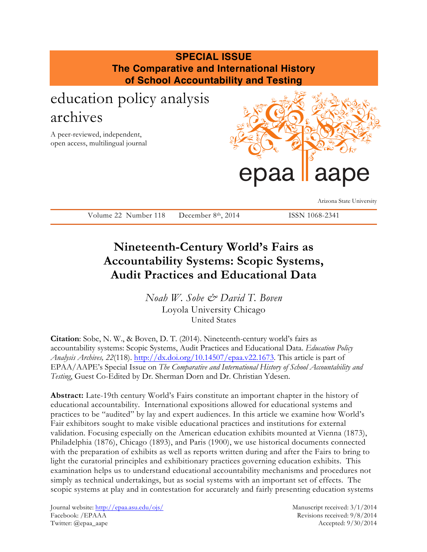### **SPECIAL ISSUE The Comparative and International History of School Accountability and Testing** education policy analysis archives A peer-reviewed, independent, open access, multilingual journal

# epaa laape

Arizona State University

Volume 22 Number 118 December 8th, 2014 ISSN 1068-2341

## **Nineteenth-Century World's Fairs as Accountability Systems: Scopic Systems, Audit Practices and Educational Data**

*Noah W. Sobe & David T. Boven* Loyola University Chicago United States

**Citation**: Sobe, N. W., & Boven, D. T. (2014). Nineteenth-century world's fairs as accountability systems: Scopic Systems, Audit Practices and Educational Data. *Education Policy Analysis Archives, 22*(118). http://dx.doi.org/10.14507/epaa.v22.1673. This article is part of EPAA/AAPE's Special Issue on *The Comparative and International History of School Accountability and Testing*, Guest Co-Edited by Dr. Sherman Dorn and Dr. Christian Ydesen.

**Abstract:** Late-19th century World's Fairs constitute an important chapter in the history of educational accountability. International expositions allowed for educational systems and practices to be "audited" by lay and expert audiences. In this article we examine how World's Fair exhibitors sought to make visible educational practices and institutions for external validation. Focusing especially on the American education exhibits mounted at Vienna (1873), Philadelphia (1876), Chicago (1893), and Paris (1900), we use historical documents connected with the preparation of exhibits as well as reports written during and after the Fairs to bring to light the curatorial principles and exhibitionary practices governing education exhibits. This examination helps us to understand educational accountability mechanisms and procedures not simply as technical undertakings, but as social systems with an important set of effects. The scopic systems at play and in contestation for accurately and fairly presenting education systems

Journal website: http://epaa.asu.edu/ojs/ Manuscript received: 3/1/2014 Facebook: /EPAAA Revisions received: 9/8/2014 Twitter: @epaa\_aape Accepted: 9/30/2014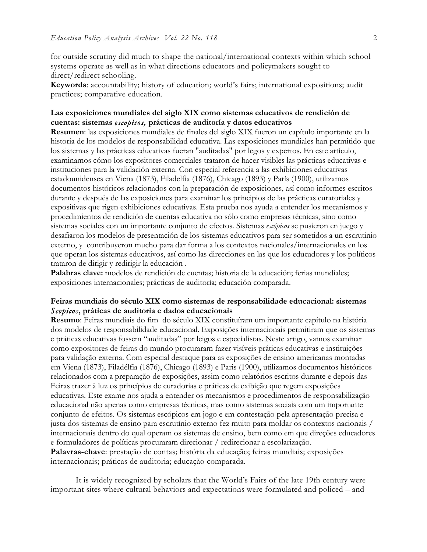for outside scrutiny did much to shape the national/international contexts within which school systems operate as well as in what directions educators and policymakers sought to direct/redirect schooling.

**Keywords**: accountability; history of education; world's fairs; international expositions; audit practices; comparative education.

#### **Las exposiciones mundiales del siglo XIX como sistemas educativos de rendición de cuentas: sistemas** *escopicos,* **prácticas de auditoría y datos educativos**

**Resumen**: las exposiciones mundiales de finales del siglo XIX fueron un capítulo importante en la historia de los modelos de responsabilidad educativa. Las exposiciones mundiales han permitido que los sistemas y las prácticas educativas fueran "auditadas" por legos y expertos. En este artículo, examinamos cómo los expositores comerciales trataron de hacer visibles las prácticas educativas e instituciones para la validación externa. Con especial referencia a las exhibiciones educativas estadounidenses en Viena (1873), Filadelfia (1876), Chicago (1893) y París (1900), utilizamos documentos históricos relacionados con la preparación de exposiciones, así como informes escritos durante y después de las exposiciones para examinar los principios de las prácticas curatoriales y expositivas que rigen exhibiciones educativas. Esta prueba nos ayuda a entender los mecanismos y procedimientos de rendición de cuentas educativa no sólo como empresas técnicas, sino como sistemas sociales con un importante conjunto de efectos. Sistemas *escópicos* se pusieron en juego y desafiaron los modelos de presentación de los sistemas educativos para ser sometidos a un escrutinio externo, y contribuyeron mucho para dar forma a los contextos nacionales/internacionales en los que operan los sistemas educativos, así como las direcciones en las que los educadores y los políticos trataron de dirigir y redirigir la educación .

**Palabras clave:** modelos de rendición de cuentas; historia de la educación; ferias mundiales; exposiciones internacionales; prácticas de auditoría; educación comparada.

#### **Feiras mundiais do século XIX como sistemas de responsabilidade educacional: sistemas**  *Scopicos***, práticas de auditoria e dados educacionais**

**Resumo**: Feiras mundiais do fim do século XIX constituíram um importante capítulo na história dos modelos de responsabilidade educacional. Exposições internacionais permitiram que os sistemas e práticas educativas fossem "auditadas" por leigos e especialistas. Neste artigo, vamos examinar como expositores de feiras do mundo procuraram fazer visíveis práticas educativas e instituições para validação externa. Com especial destaque para as exposições de ensino americanas montadas em Viena (1873), Filadélfia (1876), Chicago (1893) e Paris (1900), utilizamos documentos históricos relacionados com a preparação de exposições, assim como relatórios escritos durante e depois das Feiras trazer à luz os princípios de curadorias e práticas de exibição que regem exposições educativas. Este exame nos ajuda a entender os mecanismos e procedimentos de responsabilização educacional não apenas como empresas técnicas, mas como sistemas sociais com um importante conjunto de efeitos. Os sistemas escópicos em jogo e em contestação pela apresentação precisa e justa dos sistemas de ensino para escrutínio externo fez muito para moldar os contextos nacionais / internacionais dentro do qual operam os sistemas de ensino, bem como em que direções educadores e formuladores de políticas procuraram direcionar / redirecionar a escolarização. **Palavras-chave**: prestação de contas; história da educação; feiras mundiais; exposições internacionais; práticas de auditoria; educação comparada.

It is widely recognized by scholars that the World's Fairs of the late 19th century were important sites where cultural behaviors and expectations were formulated and policed – and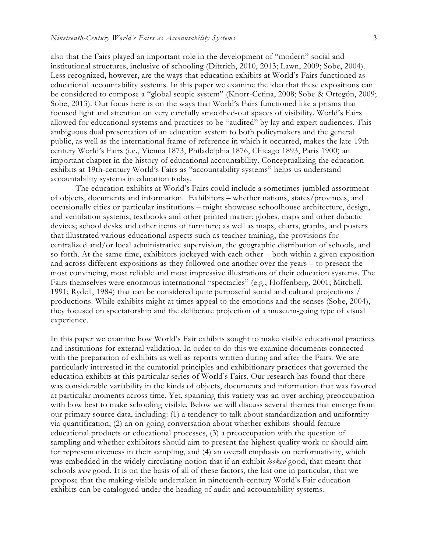also that the Fairs played an important role in the development of "modern" social and institutional structures, inclusive of schooling (Dittrich, 2010, 2013; Lawn, 2009; Sobe, 2004). Less recognized, however, are the ways that education exhibits at World's Fairs functioned as educational accountability systems. In this paper we examine the idea that these expositions can be considered to compose a "global scopic system" (Knorr-Cetina, 2008; Sobe & Ortegón, 2009; Sobe, 2013). Our focus here is on the ways that World's Fairs functioned like a prisms that focused light and attention on very carefully smoothed-out spaces of visibility. World's Fairs allowed for educational systems and practices to be "audited" by lay and expert audiences. This ambiguous dual presentation of an education system to both policymakers and the general public, as well as the international frame of reference in which it occurred, makes the late-19th century World's Fairs (i.e., Vienna 1873, Philadelphia 1876, Chicago 1893, Paris 1900) an important chapter in the history of educational accountability. Conceptualizing the education exhibits at 19th-century World's Fairs as "accountability systems" helps us understand accountability systems in education today.

The education exhibits at World's Fairs could include a sometimes-jumbled assortment of objects, documents and information. Exhibitors – whether nations, states/provinces, and occasionally cities or particular institutions – might showcase schoolhouse architecture, design, and ventilation systems; textbooks and other printed matter; globes, maps and other didactic devices; school desks and other items of furniture; as well as maps, charts, graphs, and posters that illustrated various educational aspects such as teacher training, the provisions for centralized and/or local administrative supervision, the geographic distribution of schools, and so forth. At the same time, exhibitors jockeyed with each other – both within a given exposition and across different expositions as they followed one another over the years – to present the most convincing, most reliable and most impressive illustrations of their education systems. The Fairs themselves were enormous international "spectacles" (e.g., Hoffenberg, 2001; Mitchell, 1991; Rydell, 1984) that can be considered quite purposeful social and cultural projections / productions. While exhibits might at times appeal to the emotions and the senses (Sobe, 2004), they focused on spectatorship and the deliberate projection of a museum-going type of visual experience.

In this paper we examine how World's Fair exhibits sought to make visible educational practices and institutions for external validation. In order to do this we examine documents connected with the preparation of exhibits as well as reports written during and after the Fairs. We are particularly interested in the curatorial principles and exhibitionary practices that governed the education exhibits at this particular series of World's Fairs. Our research has found that there was considerable variability in the kinds of objects, documents and information that was favored at particular moments across time. Yet, spanning this variety was an over-arching preoccupation with how best to make schooling visible. Below we will discuss several themes that emerge from our primary source data, including: (1) a tendency to talk about standardization and uniformity via quantification, (2) an on-going conversation about whether exhibits should feature educational products or educational processes, (3) a preoccupation with the question of sampling and whether exhibitors should aim to present the highest quality work or should aim for representativeness in their sampling, and (4) an overall emphasis on performativity, which was embedded in the widely circulating notion that if an exhibit *looked* good, that meant that schools *were* good. It is on the basis of all of these factors, the last one in particular, that we propose that the making-visible undertaken in nineteenth-century World's Fair education exhibits can be catalogued under the heading of audit and accountability systems.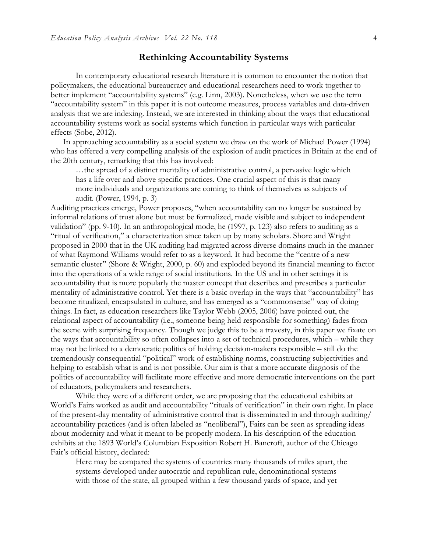#### **Rethinking Accountability Systems**

In contemporary educational research literature it is common to encounter the notion that policymakers, the educational bureaucracy and educational researchers need to work together to better implement "accountability systems" (e.g. Linn, 2003). Nonetheless, when we use the term "accountability system" in this paper it is not outcome measures, process variables and data-driven analysis that we are indexing. Instead, we are interested in thinking about the ways that educational accountability systems work as social systems which function in particular ways with particular effects (Sobe, 2012).

In approaching accountability as a social system we draw on the work of Michael Power (1994) who has offered a very compelling analysis of the explosion of audit practices in Britain at the end of the 20th century, remarking that this has involved:

…the spread of a distinct mentality of administrative control, a pervasive logic which has a life over and above specific practices. One crucial aspect of this is that many more individuals and organizations are coming to think of themselves as subjects of audit. (Power, 1994, p. 3)

Auditing practices emerge, Power proposes, "when accountability can no longer be sustained by informal relations of trust alone but must be formalized, made visible and subject to independent validation" (pp. 9-10). In an anthropological mode, he (1997, p. 123) also refers to auditing as a "ritual of verification," a characterization since taken up by many scholars. Shore and Wright proposed in 2000 that in the UK auditing had migrated across diverse domains much in the manner of what Raymond Williams would refer to as a keyword. It had become the "centre of a new semantic cluster" (Shore & Wright, 2000, p. 60) and exploded beyond its financial meaning to factor into the operations of a wide range of social institutions. In the US and in other settings it is accountability that is more popularly the master concept that describes and prescribes a particular mentality of administrative control. Yet there is a basic overlap in the ways that "accountability" has become ritualized, encapsulated in culture, and has emerged as a "commonsense" way of doing things. In fact, as education researchers like Taylor Webb (2005, 2006) have pointed out, the relational aspect of accountability (i.e., someone being held responsible for something) fades from the scene with surprising frequency. Though we judge this to be a travesty, in this paper we fixate on the ways that accountability so often collapses into a set of technical procedures, which – while they may not be linked to a democratic politics of holding decision-makers responsible – still do the tremendously consequential "political" work of establishing norms, constructing subjectivities and helping to establish what is and is not possible. Our aim is that a more accurate diagnosis of the politics of accountability will facilitate more effective and more democratic interventions on the part of educators, policymakers and researchers.

While they were of a different order, we are proposing that the educational exhibits at World's Fairs worked as audit and accountability "rituals of verification" in their own right. In place of the present-day mentality of administrative control that is disseminated in and through auditing/ accountability practices (and is often labeled as "neoliberal"), Fairs can be seen as spreading ideas about modernity and what it meant to be properly modern. In his description of the education exhibits at the 1893 World's Columbian Exposition Robert H. Bancroft, author of the Chicago Fair's official history, declared:

Here may be compared the systems of countries many thousands of miles apart, the systems developed under autocratic and republican rule, denominational systems with those of the state, all grouped within a few thousand yards of space, and yet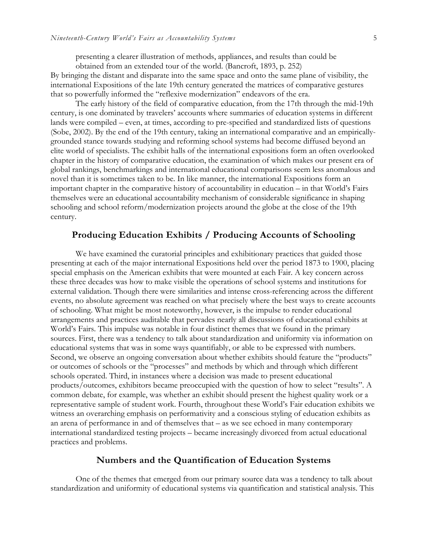presenting a clearer illustration of methods, appliances, and results than could be obtained from an extended tour of the world. (Bancroft, 1893, p. 252)

By bringing the distant and disparate into the same space and onto the same plane of visibility, the international Expositions of the late 19th century generated the matrices of comparative gestures that so powerfully informed the "reflexive modernization" endeavors of the era.

The early history of the field of comparative education, from the 17th through the mid-19th century, is one dominated by travelers' accounts where summaries of education systems in different lands were compiled – even, at times, according to pre-specified and standardized lists of questions (Sobe, 2002). By the end of the 19th century, taking an international comparative and an empiricallygrounded stance towards studying and reforming school systems had become diffused beyond an elite world of specialists. The exhibit halls of the international expositions form an often overlooked chapter in the history of comparative education, the examination of which makes our present era of global rankings, benchmarkings and international educational comparisons seem less anomalous and novel than it is sometimes taken to be. In like manner, the international Expositions form an important chapter in the comparative history of accountability in education – in that World's Fairs themselves were an educational accountability mechanism of considerable significance in shaping schooling and school reform/modernization projects around the globe at the close of the 19th century.

#### **Producing Education Exhibits / Producing Accounts of Schooling**

We have examined the curatorial principles and exhibitionary practices that guided those presenting at each of the major international Expositions held over the period 1873 to 1900, placing special emphasis on the American exhibits that were mounted at each Fair. A key concern across these three decades was how to make visible the operations of school systems and institutions for external validation. Though there were similarities and intense cross-referencing across the different events, no absolute agreement was reached on what precisely where the best ways to create accounts of schooling. What might be most noteworthy, however, is the impulse to render educational arrangements and practices auditable that pervades nearly all discussions of educational exhibits at World's Fairs. This impulse was notable in four distinct themes that we found in the primary sources. First, there was a tendency to talk about standardization and uniformity via information on educational systems that was in some ways quantifiably, or able to be expressed with numbers. Second, we observe an ongoing conversation about whether exhibits should feature the "products" or outcomes of schools or the "processes" and methods by which and through which different schools operated. Third, in instances where a decision was made to present educational products/outcomes, exhibitors became preoccupied with the question of how to select "results". A common debate, for example, was whether an exhibit should present the highest quality work or a representative sample of student work. Fourth, throughout these World's Fair education exhibits we witness an overarching emphasis on performativity and a conscious styling of education exhibits as an arena of performance in and of themselves that – as we see echoed in many contemporary international standardized testing projects – became increasingly divorced from actual educational practices and problems.

#### **Numbers and the Quantification of Education Systems**

One of the themes that emerged from our primary source data was a tendency to talk about standardization and uniformity of educational systems via quantification and statistical analysis. This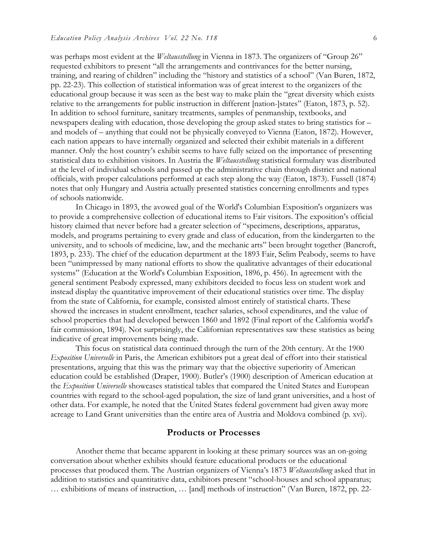was perhaps most evident at the *Weltausstellung* in Vienna in 1873. The organizers of "Group 26" requested exhibitors to present "all the arrangements and contrivances for the better nursing, training, and rearing of children" including the "history and statistics of a school" (Van Buren, 1872, pp. 22-23). This collection of statistical information was of great interest to the organizers of the educational group because it was seen as the best way to make plain the "great diversity which exists relative to the arrangements for public instruction in different [nation-]states" (Eaton, 1873, p. 52). In addition to school furniture, sanitary treatments, samples of penmanship, textbooks, and newspapers dealing with education, those developing the group asked states to bring statistics for – and models of – anything that could not be physically conveyed to Vienna (Eaton, 1872). However, each nation appears to have internally organized and selected their exhibit materials in a different manner. Only the host country's exhibit seems to have fully seized on the importance of presenting statistical data to exhibition visitors. In Austria the *Weltausstellung* statistical formulary was distributed at the level of individual schools and passed up the administrative chain through district and national officials, with proper calculations performed at each step along the way (Eaton, 1873). Fussell (1874) notes that only Hungary and Austria actually presented statistics concerning enrollments and types of schools nationwide.

In Chicago in 1893, the avowed goal of the World's Columbian Exposition's organizers was to provide a comprehensive collection of educational items to Fair visitors. The exposition's official history claimed that never before had a greater selection of "specimens, descriptions, apparatus, models, and programs pertaining to every grade and class of education, from the kindergarten to the university, and to schools of medicine, law, and the mechanic arts" been brought together (Bancroft, 1893, p. 233). The chief of the education department at the 1893 Fair, Selim Peabody, seems to have been "unimpressed by many national efforts to show the qualitative advantages of their educational systems" (Education at the World's Columbian Exposition, 1896, p. 456). In agreement with the general sentiment Peabody expressed, many exhibitors decided to focus less on student work and instead display the quantitative improvement of their educational statistics over time. The display from the state of California, for example, consisted almost entirely of statistical charts. These showed the increases in student enrollment, teacher salaries, school expenditures, and the value of school properties that had developed between 1860 and 1892 (Final report of the California world's fair commission, 1894). Not surprisingly, the Californian representatives saw these statistics as being indicative of great improvements being made.

This focus on statistical data continued through the turn of the 20th century. At the 1900 *Exposition Universelle* in Paris, the American exhibitors put a great deal of effort into their statistical presentations, arguing that this was the primary way that the objective superiority of American education could be established (Draper, 1900). Butler's (1900) description of American education at the *Exposition Universelle* showcases statistical tables that compared the United States and European countries with regard to the school-aged population, the size of land grant universities, and a host of other data. For example, he noted that the United States federal government had given away more acreage to Land Grant universities than the entire area of Austria and Moldova combined (p. xvi).

#### **Products or Processes**

Another theme that became apparent in looking at these primary sources was an on-going conversation about whether exhibits should feature educational products or the educational processes that produced them. The Austrian organizers of Vienna's 1873 *Weltausstellung* asked that in addition to statistics and quantitative data, exhibitors present "school-houses and school apparatus; … exhibitions of means of instruction, … [and] methods of instruction" (Van Buren, 1872, pp. 22-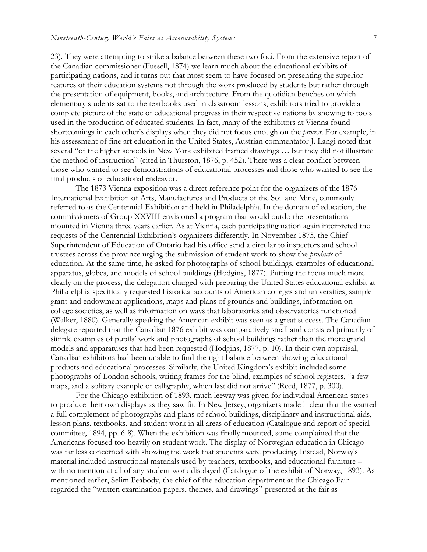23). They were attempting to strike a balance between these two foci. From the extensive report of the Canadian commissioner (Fussell, 1874) we learn much about the educational exhibits of participating nations, and it turns out that most seem to have focused on presenting the superior features of their education systems not through the work produced by students but rather through the presentation of equipment, books, and architecture. From the quotidian benches on which elementary students sat to the textbooks used in classroom lessons, exhibitors tried to provide a complete picture of the state of educational progress in their respective nations by showing to tools used in the production of educated students. In fact, many of the exhibitors at Vienna found shortcomings in each other's displays when they did not focus enough on the *process*. For example, in his assessment of fine art education in the United States, Austrian commentator J. Langi noted that several "of the higher schools in New York exhibited framed drawings … but they did not illustrate the method of instruction" (cited in Thurston, 1876, p. 452). There was a clear conflict between those who wanted to see demonstrations of educational processes and those who wanted to see the final products of educational endeavor.

The 1873 Vienna exposition was a direct reference point for the organizers of the 1876 International Exhibition of Arts, Manufactures and Products of the Soil and Mine, commonly referred to as the Centennial Exhibition and held in Philadelphia. In the domain of education, the commissioners of Group XXVIII envisioned a program that would outdo the presentations mounted in Vienna three years earlier. As at Vienna, each participating nation again interpreted the requests of the Centennial Exhibition's organizers differently. In November 1875, the Chief Superintendent of Education of Ontario had his office send a circular to inspectors and school trustees across the province urging the submission of student work to show the *products* of education. At the same time, he asked for photographs of school buildings, examples of educational apparatus, globes, and models of school buildings (Hodgins, 1877). Putting the focus much more clearly on the process, the delegation charged with preparing the United States educational exhibit at Philadelphia specifically requested historical accounts of American colleges and universities, sample grant and endowment applications, maps and plans of grounds and buildings, information on college societies, as well as information on ways that laboratories and observatories functioned (Walker, 1880). Generally speaking the American exhibit was seen as a great success. The Canadian delegate reported that the Canadian 1876 exhibit was comparatively small and consisted primarily of simple examples of pupils' work and photographs of school buildings rather than the more grand models and apparatuses that had been requested (Hodgins, 1877, p. 10). In their own appraisal, Canadian exhibitors had been unable to find the right balance between showing educational products and educational processes. Similarly, the United Kingdom's exhibit included some photographs of London schools, writing frames for the blind, examples of school registers, "a few maps, and a solitary example of calligraphy, which last did not arrive" (Reed, 1877, p. 300).

For the Chicago exhibition of 1893, much leeway was given for individual American states to produce their own displays as they saw fit. In New Jersey, organizers made it clear that the wanted a full complement of photographs and plans of school buildings, disciplinary and instructional aids, lesson plans, textbooks, and student work in all areas of education (Catalogue and report of special committee, 1894, pp. 6-8). When the exhibition was finally mounted, some complained that the Americans focused too heavily on student work. The display of Norwegian education in Chicago was far less concerned with showing the work that students were producing. Instead, Norway's material included instructional materials used by teachers, textbooks, and educational furniture – with no mention at all of any student work displayed (Catalogue of the exhibit of Norway, 1893). As mentioned earlier, Selim Peabody, the chief of the education department at the Chicago Fair regarded the "written examination papers, themes, and drawings" presented at the fair as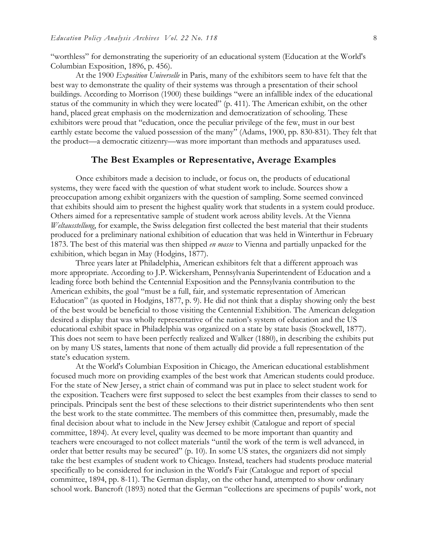"worthless" for demonstrating the superiority of an educational system (Education at the World's Columbian Exposition, 1896, p. 456).

At the 1900 *Exposition Universelle* in Paris, many of the exhibitors seem to have felt that the best way to demonstrate the quality of their systems was through a presentation of their school buildings. According to Morrison (1900) these buildings "were an infallible index of the educational status of the community in which they were located" (p. 411). The American exhibit, on the other hand, placed great emphasis on the modernization and democratization of schooling. These exhibitors were proud that "education, once the peculiar privilege of the few, must in our best earthly estate become the valued possession of the many" (Adams, 1900, pp. 830-831). They felt that the product—a democratic citizenry—was more important than methods and apparatuses used.

#### **The Best Examples or Representative, Average Examples**

Once exhibitors made a decision to include, or focus on, the products of educational systems, they were faced with the question of what student work to include. Sources show a preoccupation among exhibit organizers with the question of sampling. Some seemed convinced that exhibits should aim to present the highest quality work that students in a system could produce. Others aimed for a representative sample of student work across ability levels. At the Vienna *Weltausstellung*, for example, the Swiss delegation first collected the best material that their students produced for a preliminary national exhibition of education that was held in Winterthur in February 1873. The best of this material was then shipped *en masse* to Vienna and partially unpacked for the exhibition, which began in May (Hodgins, 1877).

Three years later at Philadelphia, American exhibitors felt that a different approach was more appropriate. According to J.P. Wickersham, Pennsylvania Superintendent of Education and a leading force both behind the Centennial Exposition and the Pennsylvania contribution to the American exhibits, the goal "must be a full, fair, and systematic representation of American Education" (as quoted in Hodgins, 1877, p. 9). He did not think that a display showing only the best of the best would be beneficial to those visiting the Centennial Exhibition. The American delegation desired a display that was wholly representative of the nation's system of education and the US educational exhibit space in Philadelphia was organized on a state by state basis (Stockwell, 1877). This does not seem to have been perfectly realized and Walker (1880), in describing the exhibits put on by many US states, laments that none of them actually did provide a full representation of the state's education system.

At the World's Columbian Exposition in Chicago, the American educational establishment focused much more on providing examples of the best work that American students could produce. For the state of New Jersey, a strict chain of command was put in place to select student work for the exposition. Teachers were first supposed to select the best examples from their classes to send to principals. Principals sent the best of these selections to their district superintendents who then sent the best work to the state committee. The members of this committee then, presumably, made the final decision about what to include in the New Jersey exhibit (Catalogue and report of special committee, 1894). At every level, quality was deemed to be more important than quantity and teachers were encouraged to not collect materials "until the work of the term is well advanced, in order that better results may be secured" (p. 10). In some US states, the organizers did not simply take the best examples of student work to Chicago. Instead, teachers had students produce material specifically to be considered for inclusion in the World's Fair (Catalogue and report of special committee, 1894, pp. 8-11). The German display, on the other hand, attempted to show ordinary school work. Bancroft (1893) noted that the German "collections are specimens of pupils' work, not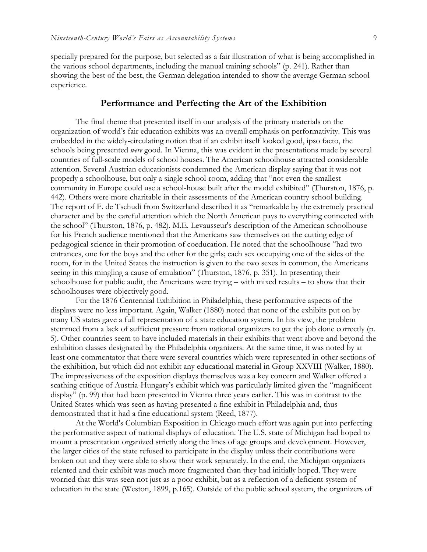specially prepared for the purpose, but selected as a fair illustration of what is being accomplished in the various school departments, including the manual training schools" (p. 241). Rather than showing the best of the best, the German delegation intended to show the average German school experience.

#### **Performance and Perfecting the Art of the Exhibition**

The final theme that presented itself in our analysis of the primary materials on the organization of world's fair education exhibits was an overall emphasis on performativity. This was embedded in the widely-circulating notion that if an exhibit itself looked good, ipso facto, the schools being presented *were* good. In Vienna, this was evident in the presentations made by several countries of full-scale models of school houses. The American schoolhouse attracted considerable attention. Several Austrian educationists condemned the American display saying that it was not properly a schoolhouse, but only a single school-room, adding that "not even the smallest community in Europe could use a school-house built after the model exhibited" (Thurston, 1876, p. 442). Others were more charitable in their assessments of the American country school building. The report of F. de Tschudi from Switzerland described it as "remarkable by the extremely practical character and by the careful attention which the North American pays to everything connected with the school" (Thurston, 1876, p. 482). M.E. Levausseur's description of the American schoolhouse for his French audience mentioned that the Americans saw themselves on the cutting edge of pedagogical science in their promotion of coeducation. He noted that the schoolhouse "had two entrances, one for the boys and the other for the girls; each sex occupying one of the sides of the room, for in the United States the instruction is given to the two sexes in common, the Americans seeing in this mingling a cause of emulation" (Thurston, 1876, p. 351). In presenting their schoolhouse for public audit, the Americans were trying – with mixed results – to show that their schoolhouses were objectively good.

For the 1876 Centennial Exhibition in Philadelphia, these performative aspects of the displays were no less important. Again, Walker (1880) noted that none of the exhibits put on by many US states gave a full representation of a state education system. In his view, the problem stemmed from a lack of sufficient pressure from national organizers to get the job done correctly (p. 5). Other countries seem to have included materials in their exhibits that went above and beyond the exhibition classes designated by the Philadelphia organizers. At the same time, it was noted by at least one commentator that there were several countries which were represented in other sections of the exhibition, but which did not exhibit any educational material in Group XXVIII (Walker, 1880). The impressiveness of the exposition displays themselves was a key concern and Walker offered a scathing critique of Austria-Hungary's exhibit which was particularly limited given the "magnificent display" (p. 99) that had been presented in Vienna three years earlier. This was in contrast to the United States which was seen as having presented a fine exhibit in Philadelphia and, thus demonstrated that it had a fine educational system (Reed, 1877).

At the World's Columbian Exposition in Chicago much effort was again put into perfecting the performative aspect of national displays of education. The U.S. state of Michigan had hoped to mount a presentation organized strictly along the lines of age groups and development. However, the larger cities of the state refused to participate in the display unless their contributions were broken out and they were able to show their work separately. In the end, the Michigan organizers relented and their exhibit was much more fragmented than they had initially hoped. They were worried that this was seen not just as a poor exhibit, but as a reflection of a deficient system of education in the state (Weston, 1899, p.165). Outside of the public school system, the organizers of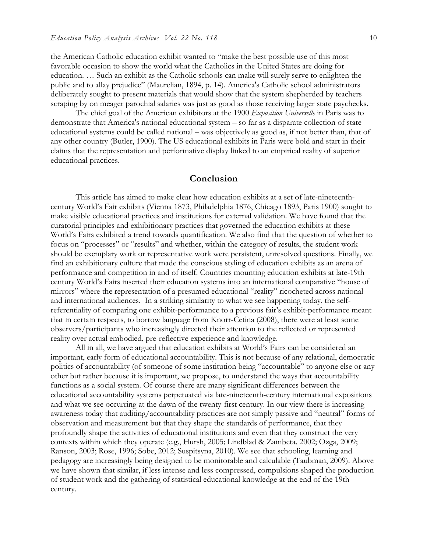the American Catholic education exhibit wanted to "make the best possible use of this most favorable occasion to show the world what the Catholics in the United States are doing for education. … Such an exhibit as the Catholic schools can make will surely serve to enlighten the public and to allay prejudice" (Maurelian, 1894, p. 14). America's Catholic school administrators deliberately sought to present materials that would show that the system shepherded by teachers scraping by on meager parochial salaries was just as good as those receiving larger state paychecks.

The chief goal of the American exhibitors at the 1900 *Exposition Universelle* in Paris was to demonstrate that America's national educational system – so far as a disparate collection of state educational systems could be called national – was objectively as good as, if not better than, that of any other country (Butler, 1900). The US educational exhibits in Paris were bold and start in their claims that the representation and performative display linked to an empirical reality of superior educational practices.

#### **Conclusion**

This article has aimed to make clear how education exhibits at a set of late-nineteenthcentury World's Fair exhibits (Vienna 1873, Philadelphia 1876, Chicago 1893, Paris 1900) sought to make visible educational practices and institutions for external validation. We have found that the curatorial principles and exhibitionary practices that governed the education exhibits at these World's Fairs exhibited a trend towards quantification. We also find that the question of whether to focus on "processes" or "results" and whether, within the category of results, the student work should be exemplary work or representative work were persistent, unresolved questions. Finally, we find an exhibitionary culture that made the conscious styling of education exhibits as an arena of performance and competition in and of itself. Countries mounting education exhibits at late-19th century World's Fairs inserted their education systems into an international comparative "house of mirrors" where the representation of a presumed educational "reality" ricocheted across national and international audiences. In a striking similarity to what we see happening today, the selfreferentiality of comparing one exhibit-performance to a previous fair's exhibit-performance meant that in certain respects, to borrow language from Knorr-Cetina (2008), there were at least some observers/participants who increasingly directed their attention to the reflected or represented reality over actual embodied, pre-reflective experience and knowledge.

All in all, we have argued that education exhibits at World's Fairs can be considered an important, early form of educational accountability. This is not because of any relational, democratic politics of accountability (of someone of some institution being "accountable" to anyone else or any other but rather because it is important, we propose, to understand the ways that accountability functions as a social system. Of course there are many significant differences between the educational accountability systems perpetuated via late-nineteenth-century international expositions and what we see occurring at the dawn of the twenty-first century. In our view there is increasing awareness today that auditing/accountability practices are not simply passive and "neutral" forms of observation and measurement but that they shape the standards of performance, that they profoundly shape the activities of educational institutions and even that they construct the very contexts within which they operate (e.g., Hursh, 2005; Lindblad & Zambeta. 2002; Ozga, 2009; Ranson, 2003; Rose, 1996; Sobe, 2012; Suspitsyna, 2010). We see that schooling, learning and pedagogy are increasingly being designed to be monitorable and calculable (Taubman, 2009). Above we have shown that similar, if less intense and less compressed, compulsions shaped the production of student work and the gathering of statistical educational knowledge at the end of the 19th century.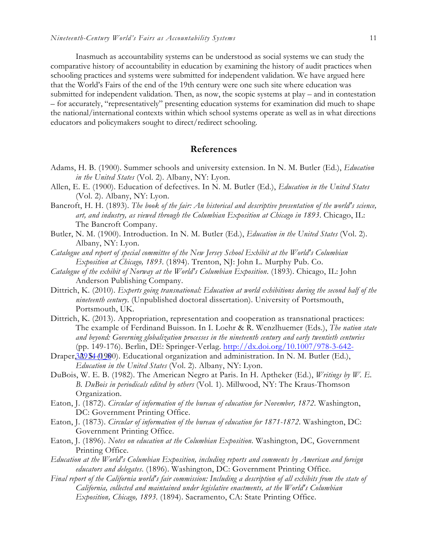Inasmuch as accountability systems can be understood as social systems we can study the comparative history of accountability in education by examining the history of audit practices when schooling practices and systems were submitted for independent validation. We have argued here that the World's Fairs of the end of the 19th century were one such site where education was submitted for independent validation. Then, as now, the scopic systems at play – and in contestation – for accurately, "representatively" presenting education systems for examination did much to shape the national/international contexts within which school systems operate as well as in what directions educators and policymakers sought to direct/redirect schooling.

#### **References**

- Adams, H. B. (1900). Summer schools and university extension. In N. M. Butler (Ed.), *Education in the United States* (Vol. 2). Albany, NY: Lyon.
- Allen, E. E. (1900). Education of defectives. In N. M. Butler (Ed.), *Education in the United States* (Vol. 2). Albany, NY: Lyon.
- Bancroft, H. H. (1893). *The book of the fair: An historical and descriptive presentation of the world's science, art, and industry, as viewed through the Columbian Exposition at Chicago in 1893*. Chicago, IL: The Bancroft Company.
- Butler, N. M. (1900). Introduction. In N. M. Butler (Ed.), *Education in the United States* (Vol. 2). Albany, NY: Lyon.
- *Catalogue and report of special committee of the New Jersey School Exhibit at the World's Columbian Exposition at Chicago, 1893*. (1894). Trenton, NJ: John L. Murphy Pub. Co.
- *Catalogue of the exhibit of Norway at the World's Columbian Exposition*. (1893). Chicago, IL: John Anderson Publishing Company.
- Dittrich, K. (2010). *Experts going transnational: Education at world exhibitions during the second half of the nineteenth century*. (Unpublished doctoral dissertation). University of Portsmouth, Portsmouth, UK.
- Dittrich, K. (2013). Appropriation, representation and cooperation as transnational practices: The example of Ferdinand Buisson. In I. Loehr & R. Wenzlhuemer (Eds.), *The nation state and beyond: Governing globalization processes in the nineteenth century and early twentieth centuries*  (pp. 149-176). Berlin, DE: Springer-Verlag. http://dx.doi.org/10.1007/978-3-642-
- Draper, 320 \$4-(1980). Educational organization and administration. In N. M. Butler (Ed.), *Education in the United States* (Vol. 2). Albany, NY: Lyon.
- DuBois, W. E. B. (1982). The American Negro at Paris. In H. Aptheker (Ed.), *Writings by W. E. B. DuBois in periodicals edited by others* (Vol. 1). Millwood, NY: The Kraus-Thomson Organization.
- Eaton, J. (1872). *Circular of information of the bureau of education for November, 1872*. Washington, DC: Government Printing Office.
- Eaton, J. (1873). *Circular of information of the bureau of education for 1871-1872*. Washington, DC: Government Printing Office.
- Eaton, J. (1896). *Notes on education at the Columbian Exposition*. Washington, DC, Government Printing Office.
- *Education at the World's Columbian Exposition, including reports and comments by American and foreign educators and delegates*. (1896). Washington, DC: Government Printing Office.
- *Final report of the California world's fair commission: Including a description of all exhibits from the state of California, collected and maintained under legislative enactments, at the World's Columbian Exposition, Chicago, 1893*. (1894). Sacramento, CA: State Printing Office.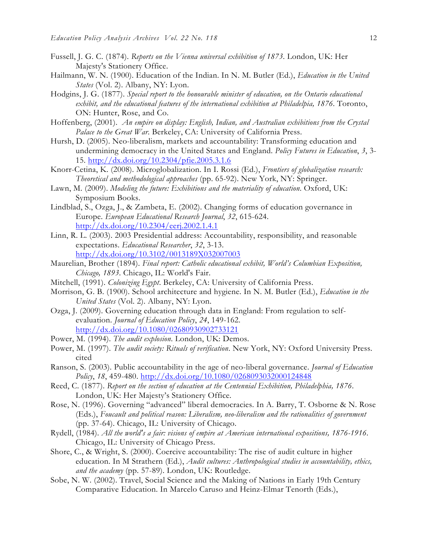- Fussell, J. G. C. (1874). *Reports on the Vienna universal exhibition of 1873*. London, UK: Her Majesty's Stationery Office.
- Hailmann, W. N. (1900). Education of the Indian. In N. M. Butler (Ed.), *Education in the United States* (Vol. 2). Albany, NY: Lyon.
- Hodgins, J. G. (1877). *Special report to the honourable minister of education, on the Ontario educational exhibit, and the educational features of the international exhibition at Philadelpia, 1876*. Toronto, ON: Hunter, Rose, and Co.
- Hoffenberg, (2001). *An empire on display: English, Indian, and Australian exhibitions from the Crystal Palace to the Great War*. Berkeley, CA: University of California Press.
- Hursh, D. (2005). Neo-liberalism, markets and accountability: Transforming education and undermining democracy in the United States and England. *Policy Futures in Education*, *3*, 3- 15. http://dx.doi.org/10.2304/pfie.2005.3.1.6
- Knorr-Cetina, K. (2008). Microglobalization. In I. Rossi (Ed.), *Frontiers of globalization research: Theoretical and methodological approaches* (pp. 65-92). New York, NY: Springer.
- Lawn, M. (2009). *Modeling the future: Exhibitions and the materiality of education*. Oxford, UK: Symposium Books.
- Lindblad, S., Ozga, J., & Zambeta, E. (2002). Changing forms of education governance in Europe. *European Educational Research Journal*, *32*, 615-624. http://dx.doi.org/10.2304/eerj.2002.1.4.1
- Linn, R. L. (2003). 2003 Presidential address: Accountability, responsibility, and reasonable expectations. *Educational Researcher*, *32*, 3-13. http://dx.doi.org/10.3102/0013189X032007003
- Maurelian, Brother (1894). *Final report: Catholic educational exhibit, World's Columbian Exposition, Chicago, 1893*. Chicago, IL: World's Fair.
- Mitchell, (1991). *Colonizing Egypt*. Berkeley, CA: University of California Press.
- Morrison, G. B. (1900). School architecture and hygiene. In N. M. Butler (Ed.), *Education in the United States* (Vol. 2). Albany, NY: Lyon.
- Ozga, J. (2009). Governing education through data in England: From regulation to selfevaluation. *Journal of Education Policy*, *24*, 149-162. http://dx.doi.org/10.1080/02680930902733121
- Power, M. (1994). *The audit explosion*. London, UK: Demos.
- Power, M. (1997). *The audit society: Rituals of verification*. New York, NY: Oxford University Press. cited
- Ranson, S. (2003). Public accountability in the age of neo-liberal governance. *Journal of Education Policy*, *18*, 459-480. http://dx.doi.org/10.1080/0268093032000124848
- Reed, C. (1877). *Report on the section of education at the Centennial Exhibition, Philadelphia, 1876*. London, UK: Her Majesty's Stationery Office.
- Rose, N. (1996). Governing "advanced" liberal democracies. In A. Barry, T. Osborne & N. Rose (Eds.), *Foucault and political reason: Liberalism, neo-liberalism and the rationalities of government* (pp. 37-64). Chicago, IL: University of Chicago.
- Rydell, (1984). *All the world's a fair: visions of empire at American international expositions, 1876-1916*. Chicago, IL: University of Chicago Press.
- Shore, C., & Wright, S. (2000). Coercive accountability: The rise of audit culture in higher education. In M Strathern (Ed.), *Audit cultures: Anthropological studies in accountability, ethics, and the academy* (pp. 57-89). London, UK: Routledge.
- Sobe, N. W. (2002). Travel, Social Science and the Making of Nations in Early 19th Century Comparative Education. In Marcelo Caruso and Heinz-Elmar Tenorth (Eds.),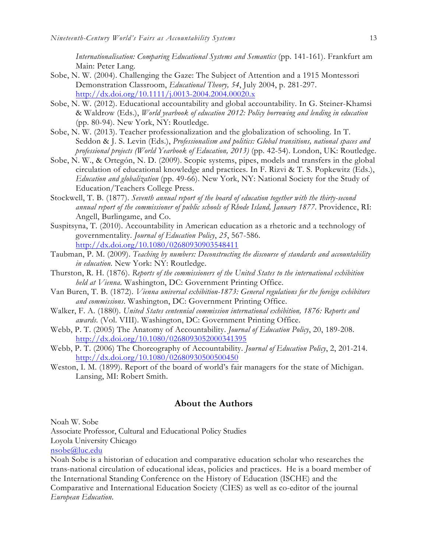*Internationalisation: Comparing Educational Systems and Semantics* (pp. 141-161). Frankfurt am Main: Peter Lang.

- Sobe, N. W. (2004). Challenging the Gaze: The Subject of Attention and a 1915 Montessori Demonstration Classroom, *Educational Theory, 54*, July 2004, p. 281-297. http://dx.doi.org/10.1111/j.0013-2004.2004.00020.x
- Sobe, N. W. (2012). Educational accountability and global accountability. In G. Steiner-Khamsi & Waldrow (Eds.), *World yearbook of education 2012: Policy borrowing and lending in education* (pp. 80-94). New York, NY: Routledge.
- Sobe, N. W. (2013). Teacher professionalization and the globalization of schooling. In T. Seddon & J. S. Levin (Eds.), *Professionalism and politics: Global transitions, national spaces and professional projects (World Yearbook of Education, 2013)* (pp. 42-54). London, UK: Routledge.
- Sobe, N. W., & Ortegón, N. D. (2009). Scopic systems, pipes, models and transfers in the global circulation of educational knowledge and practices. In F. Rizvi & T. S. Popkewitz (Eds.), *Education and globalization* (pp. 49-66). New York, NY: National Society for the Study of Education/Teachers College Press.
- Stockwell, T. B. (1877). *Seventh annual report of the board of education together with the thirty-second annual report of the commissioner of public schools of Rhode Island, January 1877*. Providence, RI: Angell, Burlingame, and Co.
- Suspitsyna, T. (2010). Accountability in American education as a rhetoric and a technology of governmentality. *Journal of Education Policy*, *25*, 567-586. http://dx.doi.org/10.1080/02680930903548411
- Taubman, P. M. (2009). *Teaching by numbers: Deconstructing the discourse of standards and accountability in education*. New York: NY: Routledge.
- Thurston, R. H. (1876). *Reports of the commissioners of the United States to the international exhibition held at Vienna*. Washington, DC: Government Printing Office.
- Van Buren, T. B. (1872). *Vienna universal exhibition-1873: General regulations for the foreign exhibitors and commissions*. Washington, DC: Government Printing Office.
- Walker, F. A. (1880). *United States centennial commission international exhibition, 1876: Reports and awards*. (Vol. VIII). Washington, DC: Government Printing Office.
- Webb, P. T. (2005) The Anatomy of Accountability. *Journal of Education Policy*, 20, 189-208. http://dx.doi.org/10.1080/0268093052000341395
- Webb, P. T. (2006) The Choreography of Accountability. *Journal of Education Policy*, 2, 201-214. http://dx.doi.org/10.1080/02680930500500450
- Weston, I. M. (1899). Report of the board of world's fair managers for the state of Michigan. Lansing, MI: Robert Smith.

#### **About the Authors**

Noah W. Sobe

Associate Professor, Cultural and Educational Policy Studies

Loyola University Chicago

nsobe@luc.edu

Noah Sobe is a historian of education and comparative education scholar who researches the trans-national circulation of educational ideas, policies and practices. He is a board member of the International Standing Conference on the History of Education (ISCHE) and the Comparative and International Education Society (CIES) as well as co-editor of the journal *European Education*.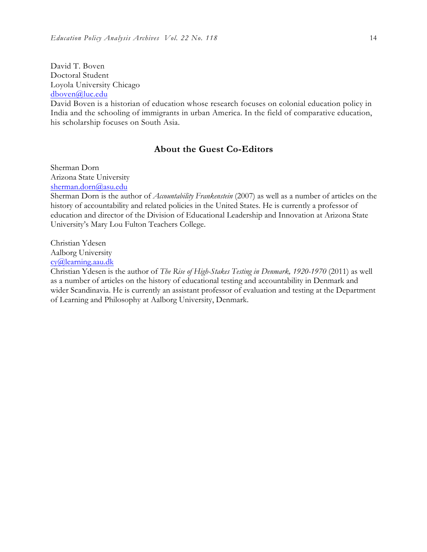David T. Boven Doctoral Student Loyola University Chicago dboven@luc.edu

David Boven is a historian of education whose research focuses on colonial education policy in India and the schooling of immigrants in urban America. In the field of comparative education, his scholarship focuses on South Asia.

#### **About the Guest Co-Editors**

Sherman Dorn Arizona State University sherman.dorn@asu.edu

Sherman Dorn is the author of *Accountability Frankenstein* (2007) as well as a number of articles on the history of accountability and related policies in the United States. He is currently a professor of education and director of the Division of Educational Leadership and Innovation at Arizona State University's Mary Lou Fulton Teachers College.

Christian Ydesen Aalborg University cy@learning.aau.dk

Christian Ydesen is the author of *The Rise of High-Stakes Testing in Denmark, 1920-1970* (2011) as well as a number of articles on the history of educational testing and accountability in Denmark and wider Scandinavia. He is currently an assistant professor of evaluation and testing at the Department of Learning and Philosophy at Aalborg University, Denmark.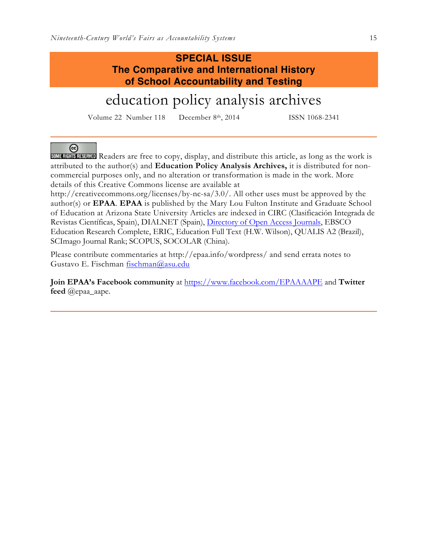$\left($ cc $\right)$ 

#### **SPECIAL ISSUE The Comparative and International History of School Accountability and Testing**

# education policy analysis archives

Volume 22 Number 118 December 8th, 2014 ISSN 1068-2341

SOME RIGHTS RESERVED Readers are free to copy, display, and distribute this article, as long as the work is attributed to the author(s) and **Education Policy Analysis Archives,** it is distributed for noncommercial purposes only, and no alteration or transformation is made in the work. More details of this Creative Commons license are available at

http://creativecommons.org/licenses/by-nc-sa/3.0/. All other uses must be approved by the author(s) or **EPAA**. **EPAA** is published by the Mary Lou Fulton Institute and Graduate School of Education at Arizona State University Articles are indexed in CIRC (Clasificación Integrada de Revistas Científicas, Spain), DIALNET (Spain), Directory of Open Access Journals, EBSCO Education Research Complete, ERIC, Education Full Text (H.W. Wilson), QUALIS A2 (Brazil), SCImago Journal Rank; SCOPUS, SOCOLAR (China).

Please contribute commentaries at http://epaa.info/wordpress/ and send errata notes to Gustavo E. Fischman fischman@asu.edu

**Join EPAA's Facebook community** at https://www.facebook.com/EPAAAAPE and **Twitter feed** @epaa\_aape.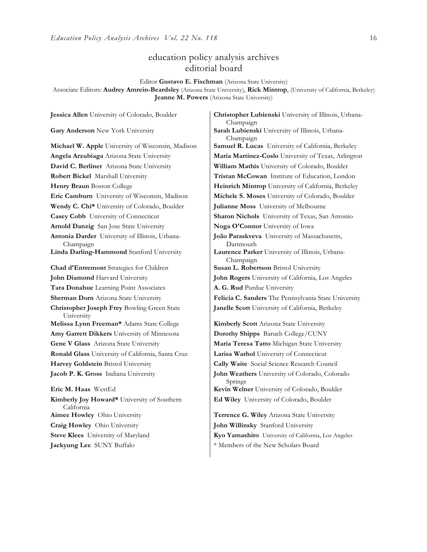#### education policy analysis archives editorial board

Editor **Gustavo E. Fischman** (Arizona State University)

Associate Editors: **Audrey Amrein-Beardsley** (Arizona State University), **Rick Mintrop**, (University of California, Berkeley) **Jeanne M. Powers** (Arizona State University)

**Gary Anderson** New York University **Sarah Lubienski** University of Illinois, Urbana-**Michael W. Apple** University of Wisconsin, Madison **Samuel R. Lucas** University of California, Berkeley **Angela Arzubiaga** Arizona State University **Maria Martinez-Coslo** University of Texas, Arlington **David C. Berliner** Arizona State University **William Mathis** University of Colorado, Boulder **Robert Bickel** Marshall University **Tristan McCowan** Institute of Education, London **Henry Braun** Boston College **Heinrich Mintrop** University of California, Berkeley **Eric Camburn** University of Wisconsin, Madison **Michele S. Moses** University of Colorado, Boulder **Wendy C. Chi\*** University of Colorado, Boulder **Julianne Moss** University of Melbourne **Casey Cobb** University of Connecticut **Sharon Nichols** University of Texas, San Antonio **Arnold Danzig** San Jose State University **Noga O'Connor** University of Iowa **Antonia Darder** University of Illinois, Urbana-Champaign **Linda Darling-Hammond** Stanford University **Laurence Parker** University of Illinois, Urbana-**Chad d'Entremont** Strategies for Children **Susan L. Robertson** Bristol University **John Diamond** Harvard University **John Rogers** University of California, Los Angeles **Tara Donahue** Learning Point Associates **A. G. Rud** Purdue University **Sherman Dorn** Arizona State University **Felicia C. Sanders** The Pennsylvania State University **Christopher Joseph Frey** Bowling Green State University **Melissa Lynn Freeman\*** Adams State College **Kimberly Scott** Arizona State University **Amy Garrett Dikkers** University of Minnesota **Dorothy Shipps** Baruch College/CUNY **Gene V Glass** Arizona State University **Maria Teresa Tatto** Michigan State University **Ronald Glass** University of California, Santa Cruz **Larisa Warhol** University of Connecticut **Harvey Goldstein** Bristol University **Cally Waite** Social Science Research Council **Jacob P. K. Gross** Indiana University **John Weathers** University of Colorado, Colorado **Eric M. Haas** WestEd **Kevin Welner** University of Colorado, Boulder **Kimberly Joy Howard\*** University of Southern California **Aimee Howley** Ohio University **Terrence G. Wiley** Arizona State University **Craig Howley** Ohio University **John Willinsky** Stanford University

**Jessica Allen** University of Colorado, Boulder **Christopher Lubienski** University of Illinois, Urbana-Champaign Champaign **João Paraskveva** University of Massachusetts, Dartmouth Champaign **Janelle Scott** University of California, Berkeley Springs **Ed Wiley** University of Colorado, Boulder

**Steve Klees** University of Maryland **Kyo Yamashiro** University of California, Los Angeles **Jaekyung Lee** SUNY Buffalo \* \* Members of the New Scholars Board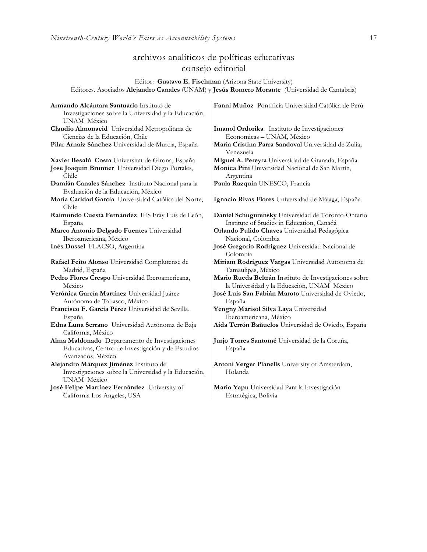#### archivos analíticos de políticas educativas consejo editorial

Editor: **Gustavo E. Fischman** (Arizona State University) Editores. Asociados **Alejandro Canales** (UNAM) y **Jesús Romero Morante** (Universidad de Cantabria)

| Armando Alcántara Santuario Instituto de<br>Investigaciones sobre la Universidad y la Educación,<br>UNAM México          | Fanni Muñoz Pontificia Universidad Católica de Perú              |
|--------------------------------------------------------------------------------------------------------------------------|------------------------------------------------------------------|
| Claudio Almonacid Universidad Metropolitana de                                                                           | Imanol Ordorika Instituto de Investigaciones                     |
| Ciencias de la Educación, Chile                                                                                          | Economicas - UNAM, México                                        |
| Pilar Arnaiz Sánchez Universidad de Murcia, España                                                                       | Maria Cristina Parra Sandoval Universidad de Zulia,<br>Venezuela |
| Xavier Besalú Costa Universitat de Girona, España                                                                        | Miguel A. Pereyra Universidad de Granada, España                 |
| Jose Joaquin Brunner Universidad Diego Portales,                                                                         | Monica Pini Universidad Nacional de San Martín,                  |
| Chile                                                                                                                    | Argentina                                                        |
| Damián Canales Sánchez Instituto Nacional para la<br>Evaluación de la Educación, México                                  | Paula Razquin UNESCO, Francia                                    |
| María Caridad García Universidad Católica del Norte,<br>Chile                                                            | Ignacio Rivas Flores Universidad de Málaga, España               |
| Raimundo Cuesta Fernández IES Fray Luis de León,                                                                         | Daniel Schugurensky Universidad de Toronto-Ontario               |
| España                                                                                                                   | Institute of Studies in Education, Canadá                        |
| Marco Antonio Delgado Fuentes Universidad                                                                                | Orlando Pulido Chaves Universidad Pedagógica                     |
| Iberoamericana, México                                                                                                   | Nacional, Colombia                                               |
| Inés Dussel FLACSO, Argentina                                                                                            | José Gregorio Rodríguez Universidad Nacional de<br>Colombia      |
| Rafael Feito Alonso Universidad Complutense de                                                                           | Miriam Rodríguez Vargas Universidad Autónoma de                  |
| Madrid, España                                                                                                           | Tamaulipas, México                                               |
| Pedro Flores Crespo Universidad Iberoamericana,                                                                          | Mario Rueda Beltrán Instituto de Investigaciones sobre           |
| México                                                                                                                   | la Universidad y la Educación, UNAM México                       |
| Verónica García Martínez Universidad Juárez                                                                              | José Luis San Fabián Maroto Universidad de Oviedo,               |
| Autónoma de Tabasco, México                                                                                              | España                                                           |
| Francisco F. García Pérez Universidad de Sevilla,                                                                        | Yengny Marisol Silva Laya Universidad                            |
| España                                                                                                                   | Iberoamericana, México                                           |
| Edna Luna Serrano Universidad Autónoma de Baja<br>California, México                                                     | Aida Terrón Bañuelos Universidad de Oviedo, España               |
| Alma Maldonado Departamento de Investigaciones<br>Educativas, Centro de Investigación y de Estudios<br>Avanzados, México | Jurjo Torres Santomé Universidad de la Coruña,<br>España         |
| Alejandro Márquez Jiménez Instituto de<br>Investigaciones sobre la Universidad y la Educación,<br>UNAM México            | Antoni Verger Planells University of Amsterdam,<br>Holanda       |
| José Felipe Martínez Fernández University of                                                                             | Mario Yapu Universidad Para la Investigación                     |
| California Los Angeles, USA                                                                                              | Estratégica, Bolivia                                             |